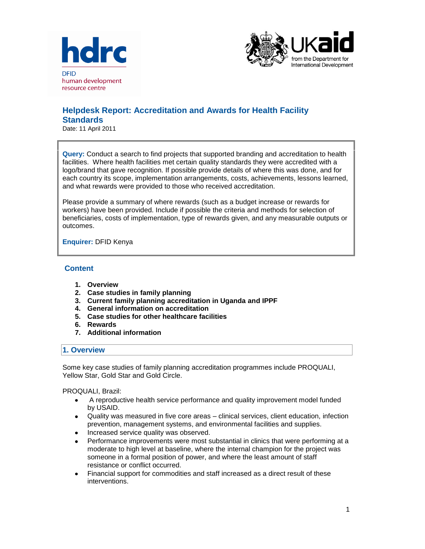



# **Helpdesk Report: Accreditation and Awards for Health Facility Standards**

Date: 11 April 2011

**Query:** Conduct a search to find projects that supported branding and accreditation to health facilities. Where health facilities met certain quality standards they were accredited with a logo/brand that gave recognition. If possible provide details of where this was done, and for each country its scope, implementation arrangements, costs, achievements, lessons learned, and what rewards were provided to those who received accreditation.

Please provide a summary of where rewards (such as a budget increase or rewards for workers) have been provided. Include if possible the criteria and methods for selection of beneficiaries, costs of implementation, type of rewards given, and any measurable outputs or outcomes.

**Enquirer:** DFID Kenya

## **Content**

- **1. Overview**
- **2. Case studies in family planning**
- **3. Current family planning accreditation in Uganda and IPPF**
- **4. General information on accreditation**
- **5. Case studies for other healthcare facilities**
- **6. Rewards**
- **7. Additional information**

## **1. Overview**

Some key case studies of family planning accreditation programmes include PROQUALI, Yellow Star, Gold Star and Gold Circle.

PROQUALI, Brazil:

- A reproductive health service performance and quality improvement model funded by USAID.
- Quality was measured in five core areas clinical services, client education, infection prevention, management systems, and environmental facilities and supplies.
- Increased service quality was observed.
- Performance improvements were most substantial in clinics that were performing at a moderate to high level at baseline, where the internal champion for the project was someone in a formal position of power, and where the least amount of staff resistance or conflict occurred.
- Financial support for commodities and staff increased as a direct result of these interventions.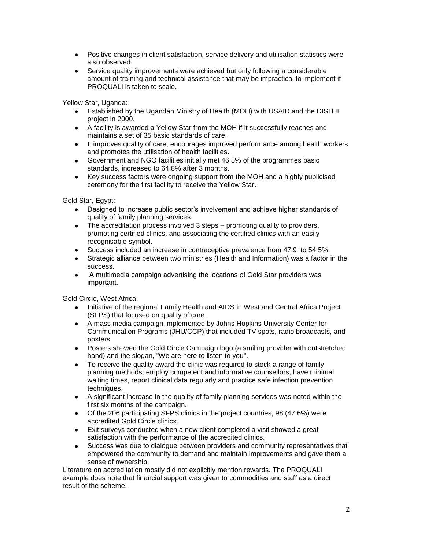- Positive changes in client satisfaction, service delivery and utilisation statistics were also observed.
- Service quality improvements were achieved but only following a considerable amount of training and technical assistance that may be impractical to implement if PROQUALI is taken to scale.

Yellow Star, Uganda:

- Established by the Ugandan Ministry of Health (MOH) with USAID and the DISH II project in 2000.
- A facility is awarded a Yellow Star from the MOH if it successfully reaches and maintains a set of 35 basic standards of care.
- It improves quality of care, encourages improved performance among health workers and promotes the utilisation of health facilities.
- Government and NGO facilities initially met 46.8% of the programmes basic standards, increased to 64.8% after 3 months.
- Key success factors were ongoing support from the MOH and a highly publicised ceremony for the first facility to receive the Yellow Star.

Gold Star, Egypt:

- Designed to increase public sector's involvement and achieve higher standards of quality of family planning services.
- The accreditation process involved 3 steps promoting quality to providers, promoting certified clinics, and associating the certified clinics with an easily recognisable symbol.
- Success included an increase in contraceptive prevalence from 47.9 to 54.5%.
- Strategic alliance between two ministries (Health and Information) was a factor in the success.
- A multimedia campaign advertising the locations of Gold Star providers was  $\bullet$ important.

Gold Circle, West Africa:

- Initiative of the regional Family Health and AIDS in West and Central Africa Project (SFPS) that focused on quality of care.
- A mass media campaign implemented by Johns Hopkins University Center for Communication Programs (JHU/CCP) that included TV spots, radio broadcasts, and posters.
- Posters showed the Gold Circle Campaign logo (a smiling provider with outstretched hand) and the slogan, "We are here to listen to you".
- To receive the quality award the clinic was required to stock a range of family  $\bullet$ planning methods, employ competent and informative counsellors, have minimal waiting times, report clinical data regularly and practice safe infection prevention techniques.
- A significant increase in the quality of family planning services was noted within the first six months of the campaign.
- Of the 206 participating SFPS clinics in the project countries, 98 (47.6%) were accredited Gold Circle clinics.
- Exit surveys conducted when a new client completed a visit showed a great satisfaction with the performance of the accredited clinics.
- Success was due to dialogue between providers and community representatives that  $\bullet$ empowered the community to demand and maintain improvements and gave them a sense of ownership.

Literature on accreditation mostly did not explicitly mention rewards. The PROQUALI example does note that financial support was given to commodities and staff as a direct result of the scheme.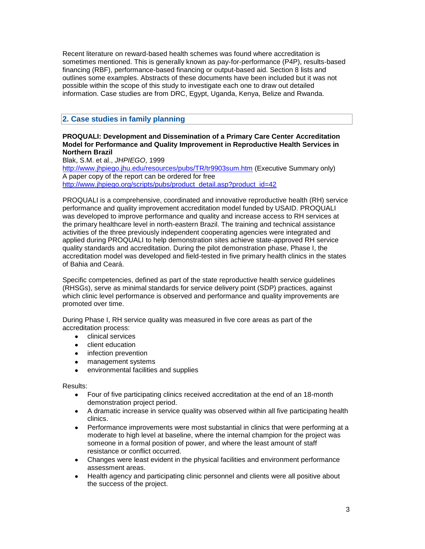Recent literature on reward-based health schemes was found where accreditation is sometimes mentioned. This is generally known as pay-for-performance (P4P), results-based financing (RBF), performance-based financing or output-based aid. Section 8 lists and outlines some examples. Abstracts of these documents have been included but it was not possible within the scope of this study to investigate each one to draw out detailed information. Case studies are from DRC, Egypt, Uganda, Kenya, Belize and Rwanda.

## **2. Case studies in family planning**

## **PROQUALI: Development and Dissemination of a Primary Care Center Accreditation Model for Performance and Quality Improvement in Reproductive Health Services in Northern Brazil**

Blak, S.M. et al., *JHPIEGO*, 1999 <http://www.jhpiego.jhu.edu/resources/pubs/TR/tr9903sum.htm> (Executive Summary only) A paper copy of the report can be ordered for free [http://www.jhpiego.org/scripts/pubs/product\\_detail.asp?product\\_id=42](http://www.jhpiego.org/scripts/pubs/product_detail.asp?product_id=42)

PROQUALI is a comprehensive, coordinated and innovative reproductive health (RH) service performance and quality improvement accreditation model funded by USAID. PROQUALI was developed to improve performance and quality and increase access to RH services at the primary healthcare level in north-eastern Brazil. The training and technical assistance activities of the three previously independent cooperating agencies were integrated and applied during PROQUALI to help demonstration sites achieve state-approved RH service quality standards and accreditation. During the pilot demonstration phase, Phase I, the accreditation model was developed and field-tested in five primary health clinics in the states of Bahia and Ceará.

Specific competencies, defined as part of the state reproductive health service guidelines (RHSGs), serve as minimal standards for service delivery point (SDP) practices, against which clinic level performance is observed and performance and quality improvements are promoted over time.

During Phase I, RH service quality was measured in five core areas as part of the accreditation process:

- clinical services
- $\bullet$ client education
- infection prevention
- management systems
- environmental facilities and supplies  $\bullet$

Results:

- Four of five participating clinics received accreditation at the end of an 18-month  $\bullet$ demonstration project period.
- A dramatic increase in service quality was observed within all five participating health clinics.
- $\bullet$ Performance improvements were most substantial in clinics that were performing at a moderate to high level at baseline, where the internal champion for the project was someone in a formal position of power, and where the least amount of staff resistance or conflict occurred.
- Changes were least evident in the physical facilities and environment performance assessment areas.
- Health agency and participating clinic personnel and clients were all positive about the success of the project.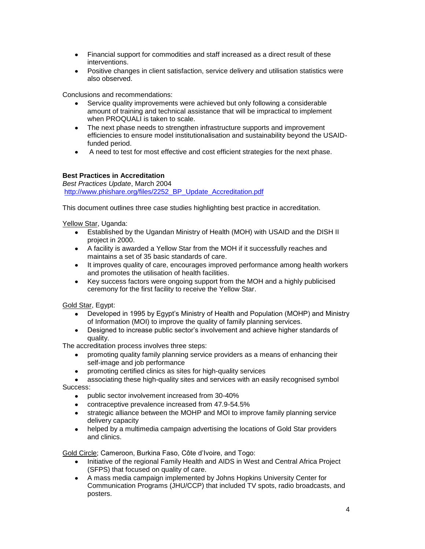- Financial support for commodities and staff increased as a direct result of these interventions.
- Positive changes in client satisfaction, service delivery and utilisation statistics were also observed.

Conclusions and recommendations:

- Service quality improvements were achieved but only following a considerable amount of training and technical assistance that will be impractical to implement when PROQUALI is taken to scale.
- The next phase needs to strengthen infrastructure supports and improvement efficiencies to ensure model institutionalisation and sustainability beyond the USAIDfunded period.
- A need to test for most effective and cost efficient strategies for the next phase.

## **Best Practices in Accreditation**

*Best Practices Update*, March 2004 [http://www.phishare.org/files/2252\\_BP\\_Update\\_Accreditation.pdf](http://www.phishare.org/files/2252_BP_Update_Accreditation.pdf)

This document outlines three case studies highlighting best practice in accreditation.

Yellow Star, Uganda:

- Established by the Ugandan Ministry of Health (MOH) with USAID and the DISH II project in 2000.
- A facility is awarded a Yellow Star from the MOH if it successfully reaches and maintains a set of 35 basic standards of care.
- It improves quality of care, encourages improved performance among health workers and promotes the utilisation of health facilities.
- Key success factors were ongoing support from the MOH and a highly publicised ceremony for the first facility to receive the Yellow Star.

Gold Star, Egypt:

- Developed in 1995 by Egypt's Ministry of Health and Population (MOHP) and Ministry of Information (MOI) to improve the quality of family planning services.
- Designed to increase public sector's involvement and achieve higher standards of quality.

The accreditation process involves three steps:

- promoting quality family planning service providers as a means of enhancing their  $\bullet$ self-image and job performance
- promoting certified clinics as sites for high-quality services
- associating these high-quality sites and services with an easily recognised symbol Success:
	- public sector involvement increased from 30-40%
	- contraceptive prevalence increased from 47.9-54.5%
	- strategic alliance between the MOHP and MOI to improve family planning service delivery capacity
	- helped by a multimedia campaign advertising the locations of Gold Star providers and clinics.

Gold Circle; Cameroon, Burkina Faso, Côte d'Ivoire, and Togo:

- Initiative of the regional Family Health and AIDS in West and Central Africa Project (SFPS) that focused on quality of care.
- A mass media campaign implemented by Johns Hopkins University Center for Communication Programs (JHU/CCP) that included TV spots, radio broadcasts, and posters.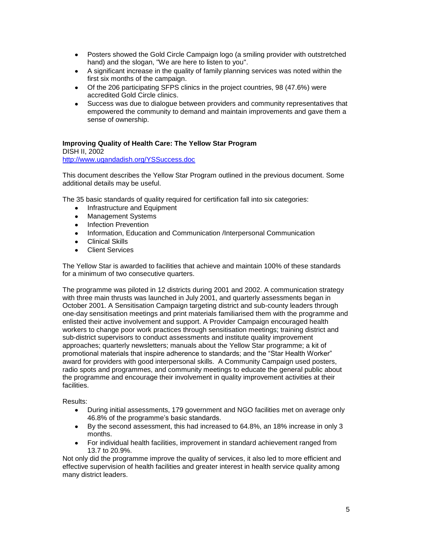- Posters showed the Gold Circle Campaign logo (a smiling provider with outstretched hand) and the slogan, "We are here to listen to you".
- A significant increase in the quality of family planning services was noted within the first six months of the campaign.
- Of the 206 participating SFPS clinics in the project countries, 98 (47.6%) were accredited Gold Circle clinics.
- Success was due to dialogue between providers and community representatives that empowered the community to demand and maintain improvements and gave them a sense of ownership.

## **Improving Quality of Health Care: The Yellow Star Program**

DISH II, 2002 <http://www.ugandadish.org/YSSuccess.doc>

This document describes the Yellow Star Program outlined in the previous document. Some additional details may be useful.

The 35 basic standards of quality required for certification fall into six categories:

- Infrastructure and Equipment
- Management Systems
- Infection Prevention
- Information, Education and Communication /Interpersonal Communication
- Clinical Skills
- **Client Services**

The Yellow Star is awarded to facilities that achieve and maintain 100% of these standards for a minimum of two consecutive quarters.

The programme was piloted in 12 districts during 2001 and 2002. A communication strategy with three main thrusts was launched in July 2001, and quarterly assessments began in October 2001. A Sensitisation Campaign targeting district and sub-county leaders through one-day sensitisation meetings and print materials familiarised them with the programme and enlisted their active involvement and support. A Provider Campaign encouraged health workers to change poor work practices through sensitisation meetings; training district and sub-district supervisors to conduct assessments and institute quality improvement approaches; quarterly newsletters; manuals about the Yellow Star programme; a kit of promotional materials that inspire adherence to standards; and the "Star Health Worker" award for providers with good interpersonal skills. A Community Campaign used posters, radio spots and programmes, and community meetings to educate the general public about the programme and encourage their involvement in quality improvement activities at their facilities.

## Results:

- During initial assessments, 179 government and NGO facilities met on average only 46.8% of the programme's basic standards.
- By the second assessment, this had increased to 64.8%, an 18% increase in only 3 months.
- For individual health facilities, improvement in standard achievement ranged from 13.7 to 20.9%.

Not only did the programme improve the quality of services, it also led to more efficient and effective supervision of health facilities and greater interest in health service quality among many district leaders.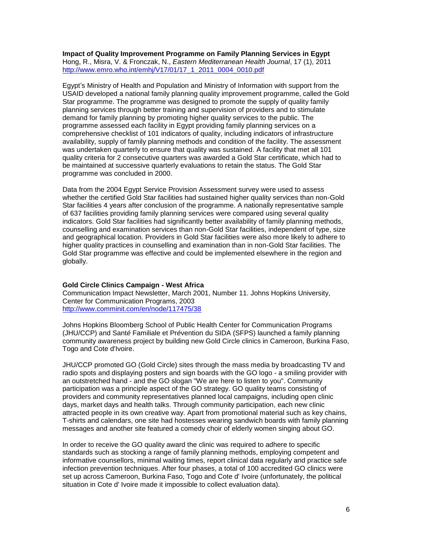**Impact of Quality Improvement Programme on Family Planning Services in Egypt** Hong, R., Misra, V. & Fronczak, N., *Eastern Mediterranean Health Journal*, 17 (1), 2011 [http://www.emro.who.int/emhj/V17/01/17\\_1\\_2011\\_0004\\_0010.pdf](http://www.emro.who.int/emhj/V17/01/17_1_2011_0004_0010.pdf)

Egypt's Ministry of Health and Population and Ministry of Information with support from the USAID developed a national family planning quality improvement programme, called the Gold Star programme. The programme was designed to promote the supply of quality family planning services through better training and supervision of providers and to stimulate demand for family planning by promoting higher quality services to the public. The programme assessed each facility in Egypt providing family planning services on a comprehensive checklist of 101 indicators of quality, including indicators of infrastructure availability, supply of family planning methods and condition of the facility. The assessment was undertaken quarterly to ensure that quality was sustained. A facility that met all 101 quality criteria for 2 consecutive quarters was awarded a Gold Star certificate, which had to be maintained at successive quarterly evaluations to retain the status. The Gold Star programme was concluded in 2000.

Data from the 2004 Egypt Service Provision Assessment survey were used to assess whether the certified Gold Star facilities had sustained higher quality services than non-Gold Star facilities 4 years after conclusion of the programme. A nationally representative sample of 637 facilities providing family planning services were compared using several quality indicators. Gold Star facilities had significantly better availability of family planning methods, counselling and examination services than non-Gold Star facilities, independent of type, size and geographical location. Providers in Gold Star facilities were also more likely to adhere to higher quality practices in counselling and examination than in non-Gold Star facilities. The Gold Star programme was effective and could be implemented elsewhere in the region and globally.

## **Gold Circle Clinics Campaign - West Africa**

Communication Impact Newsletter, March 2001, Number 11. Johns Hopkins University, Center for Communication Programs, 2003 <http://www.comminit.com/en/node/117475/38>

Johns Hopkins Bloomberg School of Public Health Center for Communication Programs (JHU/CCP) and Sant*é* Familiale et Pr*é*vention du SIDA (SFPS) launched a family planning community awareness project by building new Gold Circle clinics in Cameroon, Burkina Faso, Togo and Cote d'Ivoire.

JHU/CCP promoted GO (Gold Circle) sites through the mass media by broadcasting TV and radio spots and displaying posters and sign boards with the GO logo - a smiling provider with an outstretched hand - and the GO slogan "We are here to listen to you". Community participation was a principle aspect of the GO strategy. GO quality teams consisting of providers and community representatives planned local campaigns, including open clinic days, market days and health talks. Through community participation, each new clinic attracted people in its own creative way. Apart from promotional material such as key chains, T-shirts and calendars, one site had hostesses wearing sandwich boards with family planning messages and another site featured a comedy choir of elderly women singing about GO.

In order to receive the GO quality award the clinic was required to adhere to specific standards such as stocking a range of family planning methods, employing competent and informative counsellors, minimal waiting times, report clinical data regularly and practice safe infection prevention techniques. After four phases, a total of 100 accredited GO clinics were set up across Cameroon, Burkina Faso, Togo and Cote d' Ivoire (unfortunately, the political situation in Cote d' Ivoire made it impossible to collect evaluation data).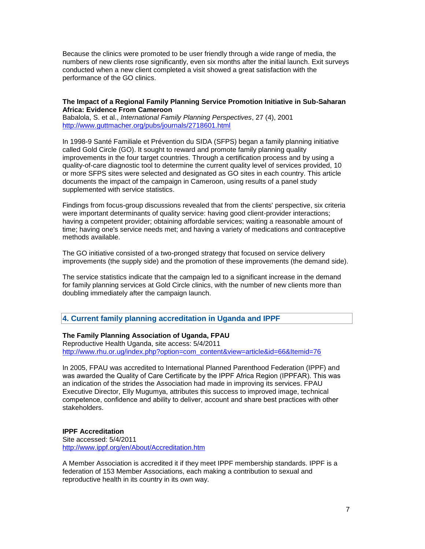Because the clinics were promoted to be user friendly through a wide range of media, the numbers of new clients rose significantly, even six months after the initial launch. Exit surveys conducted when a new client completed a visit showed a great satisfaction with the performance of the GO clinics.

#### **The Impact of a Regional Family Planning Service Promotion Initiative in Sub-Saharan Africa: Evidence From Cameroon**

Babalola, S. et al., *International Family Planning Perspectives*, 27 (4), 2001 <http://www.guttmacher.org/pubs/journals/2718601.html>

In 1998-9 Santé Familiale et Prévention du SIDA (SFPS) began a family planning initiative called Gold Circle (GO). It sought to reward and promote family planning quality improvements in the four target countries. Through a certification process and by using a quality-of-care diagnostic tool to determine the current quality level of services provided, 10 or more SFPS sites were selected and designated as GO sites in each country. This article documents the impact of the campaign in Cameroon, using results of a panel study supplemented with service statistics.

Findings from focus-group discussions revealed that from the clients' perspective, six criteria were important determinants of quality service: having good client-provider interactions; having a competent provider; obtaining affordable services; waiting a reasonable amount of time; having one's service needs met; and having a variety of medications and contraceptive methods available.

The GO initiative consisted of a two-pronged strategy that focused on service delivery improvements (the supply side) and the promotion of these improvements (the demand side).

The service statistics indicate that the campaign led to a significant increase in the demand for family planning services at Gold Circle clinics, with the number of new clients more than doubling immediately after the campaign launch.

**4. Current family planning accreditation in Uganda and IPPF**

## **The Family Planning Association of Uganda, FPAU**

Reproductive Health Uganda, site access: 5/4/2011 [http://www.rhu.or.ug/index.php?option=com\\_content&view=article&id=66&Itemid=76](http://www.rhu.or.ug/index.php?option=com_content&view=article&id=66&Itemid=76)

In 2005, FPAU was accredited to International Planned Parenthood Federation (IPPF) and was awarded the Quality of Care Certificate by the IPPF Africa Region (IPPFAR). This was an indication of the strides the Association had made in improving its services. FPAU Executive Director, Elly Mugumya, attributes this success to improved image, technical competence, confidence and ability to deliver, account and share best practices with other stakeholders.

## **IPPF Accreditation**

Site accessed: 5/4/2011 <http://www.ippf.org/en/About/Accreditation.htm>

A Member Association is accredited it if they meet IPPF membership standards. IPPF is a federation of 153 Member Associations, each making a contribution to sexual and reproductive health in its country in its own way.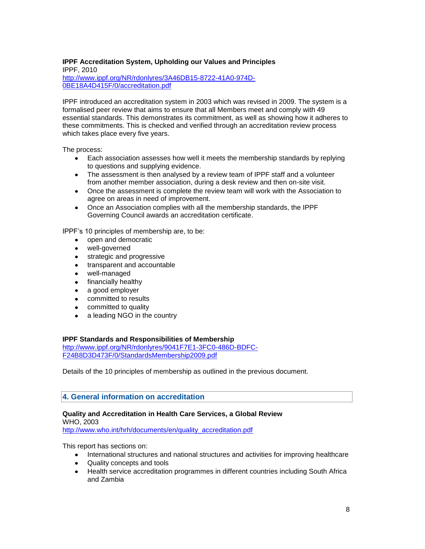## **IPPF Accreditation System, Upholding our Values and Principles**

IPPF, 2010 [http://www.ippf.org/NR/rdonlyres/3A46DB15-8722-41A0-974D-](http://www.ippf.org/NR/rdonlyres/3A46DB15-8722-41A0-974D-0BE18A4D415F/0/accreditation.pdf)[0BE18A4D415F/0/accreditation.pdf](http://www.ippf.org/NR/rdonlyres/3A46DB15-8722-41A0-974D-0BE18A4D415F/0/accreditation.pdf)

IPPF introduced an accreditation system in 2003 which was revised in 2009. The system is a formalised peer review that aims to ensure that all Members meet and comply with 49 essential standards. This demonstrates its commitment, as well as showing how it adheres to these commitments. This is checked and verified through an accreditation review process which takes place every five years.

The process:

- Each association assesses how well it meets the membership standards by replying to questions and supplying evidence.
- The assessment is then analysed by a review team of IPPF staff and a volunteer from another member association, during a desk review and then on-site visit.
- Once the assessment is complete the review team will work with the Association to agree on areas in need of improvement.
- Once an Association complies with all the membership standards, the IPPF Governing Council awards an accreditation certificate.

IPPF's 10 principles of membership are, to be:

- open and democratic
- well-governed
- **strategic and progressive**
- transparent and accountable
- well-managed
- financially healthy
- a good employer
- committed to results
- committed to quality
- a leading NGO in the country

## **IPPF Standards and Responsibilities of Membership**

[http://www.ippf.org/NR/rdonlyres/9041F7E1-3FC0-486D-BDFC-](http://www.ippf.org/NR/rdonlyres/9041F7E1-3FC0-486D-BDFC-F24B8D3D473F/0/StandardsMembership2009.pdf)[F24B8D3D473F/0/StandardsMembership2009.pdf](http://www.ippf.org/NR/rdonlyres/9041F7E1-3FC0-486D-BDFC-F24B8D3D473F/0/StandardsMembership2009.pdf)

Details of the 10 principles of membership as outlined in the previous document.

## **4. General information on accreditation**

## **Quality and Accreditation in Health Care Services, a Global Review**

WHO, 2003

[http://www.who.int/hrh/documents/en/quality\\_accreditation.pdf](http://www.who.int/hrh/documents/en/quality_accreditation.pdf)

This report has sections on:

- International structures and national structures and activities for improving healthcare
- Quality concepts and tools
- Health service accreditation programmes in different countries including South Africa and Zambia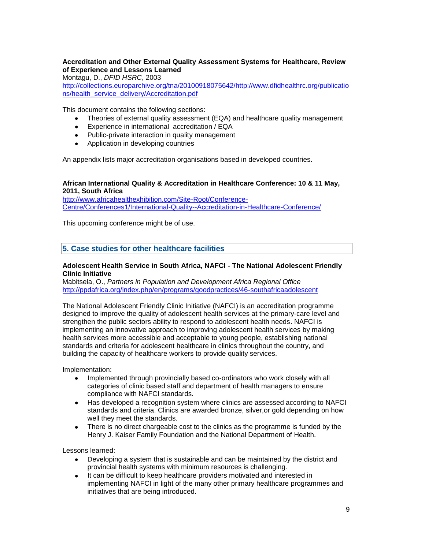## **Accreditation and Other External Quality Assessment Systems for Healthcare, Review of Experience and Lessons Learned**

Montagu, D., *DFID HSRC*, 2003

[http://collections.europarchive.org/tna/20100918075642/http://www.dfidhealthrc.org/publicatio](http://collections.europarchive.org/tna/20100918075642/http:/www.dfidhealthrc.org/publications/health_service_delivery/Accreditation.pdf) [ns/health\\_service\\_delivery/Accreditation.pdf](http://collections.europarchive.org/tna/20100918075642/http:/www.dfidhealthrc.org/publications/health_service_delivery/Accreditation.pdf)

This document contains the following sections:

- Theories of external quality assessment (EQA) and healthcare quality management
- Experience in international accreditation / EQA
- Public-private interaction in quality management
- Application in developing countries

An appendix lists major accreditation organisations based in developed countries.

## **African International Quality & Accreditation in Healthcare Conference: 10 & 11 May, 2011, South Africa**

[http://www.africahealthexhibition.com/Site-Root/Conference-](http://www.africahealthexhibition.com/Site-Root/Conference-Centre/Conferences1/International-Quality--Accreditation-in-Healthcare-Conference/)[Centre/Conferences1/International-Quality--Accreditation-in-Healthcare-Conference/](http://www.africahealthexhibition.com/Site-Root/Conference-Centre/Conferences1/International-Quality--Accreditation-in-Healthcare-Conference/)

This upcoming conference might be of use.

**5. Case studies for other healthcare facilities**

#### **Adolescent Health Service in South Africa, NAFCI - The National Adolescent Friendly Clinic Initiative**

Mabitsela, O., *Partners in Population and Development Africa Regional Office*  <http://ppdafrica.org/index.php/en/programs/goodpractices/46-southafricaadolescent>

The National Adolescent Friendly Clinic Initiative (NAFCI) is an accreditation programme designed to improve the quality of adolescent health services at the primary-care level and strengthen the public sectors ability to respond to adolescent health needs. NAFCI is implementing an innovative approach to improving adolescent health services by making health services more accessible and acceptable to young people, establishing national standards and criteria for adolescent healthcare in clinics throughout the country, and building the capacity of healthcare workers to provide quality services.

Implementation:

- Implemented through provincially based co-ordinators who work closely with all  $\bullet$ categories of clinic based staff and department of health managers to ensure compliance with NAFCI standards.
- Has developed a recognition system where clinics are assessed according to NAFCI standards and criteria. Clinics are awarded bronze, silver,or gold depending on how well they meet the standards.
- There is no direct chargeable cost to the clinics as the programme is funded by the  $\bullet$ Henry J. Kaiser Family Foundation and the National Department of Health.

Lessons learned:

- Developing a system that is sustainable and can be maintained by the district and provincial health systems with minimum resources is challenging.
- It can be difficult to keep healthcare providers motivated and interested in implementing NAFCI in light of the many other primary healthcare programmes and initiatives that are being introduced.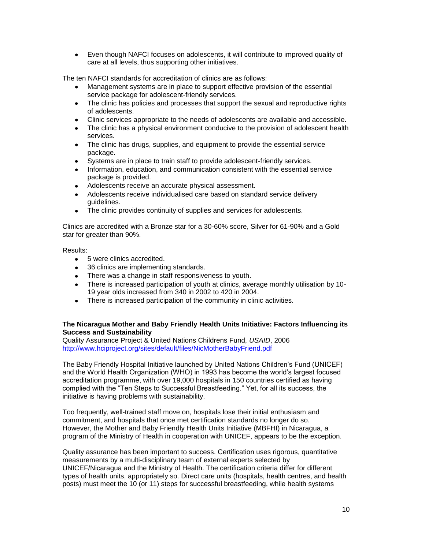Even though NAFCI focuses on adolescents, it will contribute to improved quality of care at all levels, thus supporting other initiatives.

The ten NAFCI standards for accreditation of clinics are as follows:

- Management systems are in place to support effective provision of the essential service package for adolescent-friendly services.
- The clinic has policies and processes that support the sexual and reproductive rights of adolescents.
- Clinic services appropriate to the needs of adolescents are available and accessible.
- The clinic has a physical environment conducive to the provision of adolescent health services.
- The clinic has drugs, supplies, and equipment to provide the essential service package.
- Systems are in place to train staff to provide adolescent-friendly services.
- Information, education, and communication consistent with the essential service package is provided.
- Adolescents receive an accurate physical assessment.
- Adolescents receive individualised care based on standard service delivery guidelines.
- The clinic provides continuity of supplies and services for adolescents.

Clinics are accredited with a Bronze star for a 30-60% score, Silver for 61-90% and a Gold star for greater than 90%.

## Results:

- 5 were clinics accredited.
- 36 clinics are implementing standards.
- There was a change in staff responsiveness to youth.
- There is increased participation of youth at clinics, average monthly utilisation by 10- 19 year olds increased from 340 in 2002 to 420 in 2004.
- There is increased participation of the community in clinic activities.

## **The Nicaragua Mother and Baby Friendly Health Units Initiative: Factors Influencing its Success and Sustainability**

Quality Assurance Project & United Nations Childrens Fund, *USAID*, 2006 <http://www.hciproject.org/sites/default/files/NicMotherBabyFriend.pdf>

The Baby Friendly Hospital Initiative launched by United Nations Children's Fund (UNICEF) and the World Health Organization (WHO) in 1993 has become the world's largest focused accreditation programme, with over 19,000 hospitals in 150 countries certified as having complied with the "Ten Steps to Successful Breastfeeding." Yet, for all its success, the initiative is having problems with sustainability.

Too frequently, well-trained staff move on, hospitals lose their initial enthusiasm and commitment, and hospitals that once met certification standards no longer do so. However, the Mother and Baby Friendly Health Units Initiative (MBFHI) in Nicaragua, a program of the Ministry of Health in cooperation with UNICEF, appears to be the exception.

Quality assurance has been important to success. Certification uses rigorous, quantitative measurements by a multi-disciplinary team of external experts selected by UNICEF/Nicaragua and the Ministry of Health. The certification criteria differ for different types of health units, appropriately so. Direct care units (hospitals, health centres, and health posts) must meet the 10 (or 11) steps for successful breastfeeding, while health systems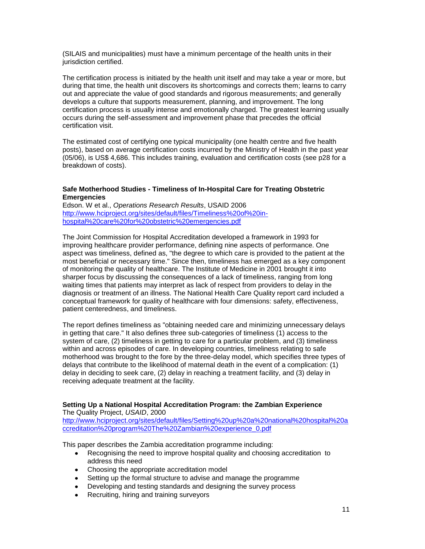(SILAIS and municipalities) must have a minimum percentage of the health units in their jurisdiction certified.

The certification process is initiated by the health unit itself and may take a year or more, but during that time, the health unit discovers its shortcomings and corrects them; learns to carry out and appreciate the value of good standards and rigorous measurements; and generally develops a culture that supports measurement, planning, and improvement. The long certification process is usually intense and emotionally charged. The greatest learning usually occurs during the self-assessment and improvement phase that precedes the official certification visit.

The estimated cost of certifying one typical municipality (one health centre and five health posts), based on average certification costs incurred by the Ministry of Health in the past year (05/06), is US\$ 4,686. This includes training, evaluation and certification costs (see p28 for a breakdown of costs).

## **Safe Motherhood Studies - Timeliness of In-Hospital Care for Treating Obstetric Emergencies**

Edson. W et al., *Operations Research Results*, USAID 2006 [http://www.hciproject.org/sites/default/files/Timeliness%20of%20in](http://www.hciproject.org/sites/default/files/Timeliness%20of%20in-hospital%20care%20for%20obstetric%20emergencies.pdf)[hospital%20care%20for%20obstetric%20emergencies.pdf](http://www.hciproject.org/sites/default/files/Timeliness%20of%20in-hospital%20care%20for%20obstetric%20emergencies.pdf)

The Joint Commission for Hospital Accreditation developed a framework in 1993 for improving healthcare provider performance, defining nine aspects of performance. One aspect was timeliness, defined as, "the degree to which care is provided to the patient at the most beneficial or necessary time." Since then, timeliness has emerged as a key component of monitoring the quality of healthcare. The Institute of Medicine in 2001 brought it into sharper focus by discussing the consequences of a lack of timeliness, ranging from long waiting times that patients may interpret as lack of respect from providers to delay in the diagnosis or treatment of an illness. The National Health Care Quality report card included a conceptual framework for quality of healthcare with four dimensions: safety, effectiveness, patient centeredness, and timeliness.

The report defines timeliness as "obtaining needed care and minimizing unnecessary delays in getting that care." It also defines three sub-categories of timeliness (1) access to the system of care, (2) timeliness in getting to care for a particular problem, and (3) timeliness within and across episodes of care. In developing countries, timeliness relating to safe motherhood was brought to the fore by the three-delay model, which specifies three types of delays that contribute to the likelihood of maternal death in the event of a complication: (1) delay in deciding to seek care, (2) delay in reaching a treatment facility, and (3) delay in receiving adequate treatment at the facility.

#### **Setting Up a National Hospital Accreditation Program: the Zambian Experience** The Quality Project, *USAID*, 2000

[http://www.hciproject.org/sites/default/files/Setting%20up%20a%20national%20hospital%20a](http://www.hciproject.org/sites/default/files/Setting%20up%20a%20national%20hospital%20accreditation%20program%20The%20Zambian%20experience_0.pdf) [ccreditation%20program%20The%20Zambian%20experience\\_0.pdf](http://www.hciproject.org/sites/default/files/Setting%20up%20a%20national%20hospital%20accreditation%20program%20The%20Zambian%20experience_0.pdf)

This paper describes the Zambia accreditation programme including:

- Recognising the need to improve hospital quality and choosing accreditation to address this need
- Choosing the appropriate accreditation model
- Setting up the formal structure to advise and manage the programme
- Developing and testing standards and designing the survey process
- Recruiting, hiring and training surveyors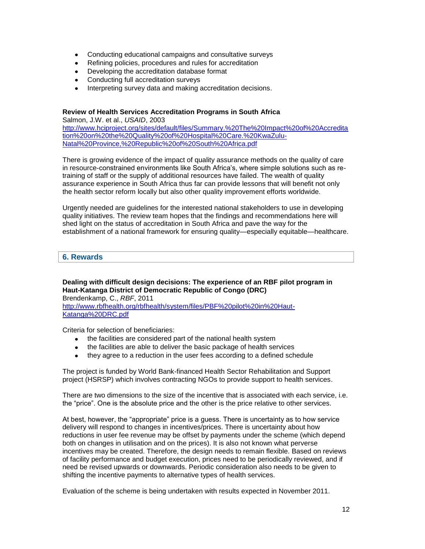- Conducting educational campaigns and consultative surveys
- Refining policies, procedures and rules for accreditation
- Developing the accreditation database format
- Conducting full accreditation surveys
- Interpreting survey data and making accreditation decisions.

## **Review of Health Services Accreditation Programs in South Africa**

Salmon, J.W. et al., *USAID*, 2003 [http://www.hciproject.org/sites/default/files/Summary.%20The%20Impact%20of%20Accredita](http://www.hciproject.org/sites/default/files/Summary.%20The%20Impact%20of%20Accreditation%20on%20the%20Quality%20of%20Hospital%20Care.%20KwaZulu-Natal%20Province,%20Republic%20of%20South%20Africa.pdf) [tion%20on%20the%20Quality%20of%20Hospital%20Care.%20KwaZulu-](http://www.hciproject.org/sites/default/files/Summary.%20The%20Impact%20of%20Accreditation%20on%20the%20Quality%20of%20Hospital%20Care.%20KwaZulu-Natal%20Province,%20Republic%20of%20South%20Africa.pdf)[Natal%20Province,%20Republic%20of%20South%20Africa.pdf](http://www.hciproject.org/sites/default/files/Summary.%20The%20Impact%20of%20Accreditation%20on%20the%20Quality%20of%20Hospital%20Care.%20KwaZulu-Natal%20Province,%20Republic%20of%20South%20Africa.pdf)

There is growing evidence of the impact of quality assurance methods on the quality of care in resource-constrained environments like South Africa's, where simple solutions such as retraining of staff or the supply of additional resources have failed. The wealth of quality assurance experience in South Africa thus far can provide lessons that will benefit not only the health sector reform locally but also other quality improvement efforts worldwide.

Urgently needed are guidelines for the interested national stakeholders to use in developing quality initiatives. The review team hopes that the findings and recommendations here will shed light on the status of accreditation in South Africa and pave the way for the establishment of a national framework for ensuring quality—especially equitable—healthcare.

## **6. Rewards**

**Dealing with difficult design decisions: The experience of an RBF pilot program in Haut-Katanga District of Democratic Republic of Congo (DRC)** Brendenkamp, C., *RBF*, 2011 [http://www.rbfhealth.org/rbfhealth/system/files/PBF%20pilot%20in%20Haut-](http://www.rbfhealth.org/rbfhealth/system/files/PBF%20pilot%20in%20Haut-Katanga%20DRC.pdf)[Katanga%20DRC.pdf](http://www.rbfhealth.org/rbfhealth/system/files/PBF%20pilot%20in%20Haut-Katanga%20DRC.pdf)

Criteria for selection of beneficiaries:

- the facilities are considered part of the national health system
- the facilities are able to deliver the basic package of health services
- they agree to a reduction in the user fees according to a defined schedule

The project is funded by World Bank-financed Health Sector Rehabilitation and Support project (HSRSP) which involves contracting NGOs to provide support to health services.

There are two dimensions to the size of the incentive that is associated with each service, i.e. the "price". One is the absolute price and the other is the price relative to other services.

At best, however, the "appropriate" price is a guess. There is uncertainty as to how service delivery will respond to changes in incentives/prices. There is uncertainty about how reductions in user fee revenue may be offset by payments under the scheme (which depend both on changes in utilisation and on the prices). It is also not known what perverse incentives may be created. Therefore, the design needs to remain flexible. Based on reviews of facility performance and budget execution, prices need to be periodically reviewed, and if need be revised upwards or downwards. Periodic consideration also needs to be given to shifting the incentive payments to alternative types of health services.

Evaluation of the scheme is being undertaken with results expected in November 2011.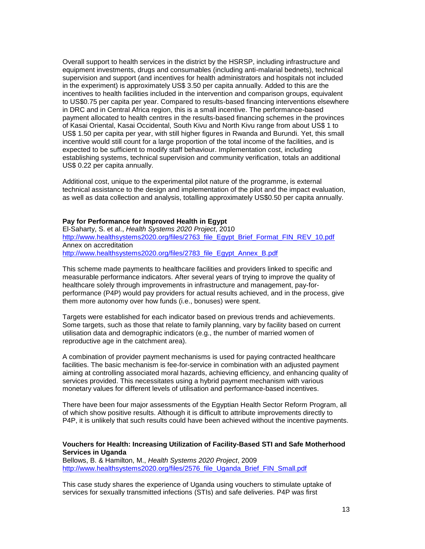Overall support to health services in the district by the HSRSP, including infrastructure and equipment investments, drugs and consumables (including anti-malarial bednets), technical supervision and support (and incentives for health administrators and hospitals not included in the experiment) is approximately US\$ 3.50 per capita annually. Added to this are the incentives to health facilities included in the intervention and comparison groups, equivalent to US\$0.75 per capita per year. Compared to results-based financing interventions elsewhere in DRC and in Central Africa region, this is a small incentive. The performance-based payment allocated to health centres in the results-based financing schemes in the provinces of Kasai Oriental, Kasai Occidental, South Kivu and North Kivu range from about US\$ 1 to US\$ 1.50 per capita per year, with still higher figures in Rwanda and Burundi. Yet, this small incentive would still count for a large proportion of the total income of the facilities, and is expected to be sufficient to modify staff behaviour. Implementation cost, including establishing systems, technical supervision and community verification, totals an additional US\$ 0.22 per capita annually.

Additional cost, unique to the experimental pilot nature of the programme, is external technical assistance to the design and implementation of the pilot and the impact evaluation, as well as data collection and analysis, totalling approximately US\$0.50 per capita annually.

#### **Pay for Performance for Improved Health in Egypt**

El-Saharty, S. et al., *Health Systems 2020 Project*, 2010 [http://www.healthsystems2020.org/files/2763\\_file\\_Egypt\\_Brief\\_Format\\_FIN\\_REV\\_10.pdf](http://www.healthsystems2020.org/files/2763_file_Egypt_Brief_Format_FIN_REV_10.pdf) Annex on accreditation [http://www.healthsystems2020.org/files/2783\\_file\\_Egypt\\_Annex\\_B.pdf](http://www.healthsystems2020.org/files/2783_file_Egypt_Annex_B.pdf)

This scheme made payments to healthcare facilities and providers linked to specific and measurable performance indicators. After several years of trying to improve the quality of healthcare solely through improvements in infrastructure and management, pay-forperformance (P4P) would pay providers for actual results achieved, and in the process, give them more autonomy over how funds (i.e., bonuses) were spent.

Targets were established for each indicator based on previous trends and achievements. Some targets, such as those that relate to family planning, vary by facility based on current utilisation data and demographic indicators (e.g., the number of married women of reproductive age in the catchment area).

A combination of provider payment mechanisms is used for paying contracted healthcare facilities. The basic mechanism is fee-for-service in combination with an adjusted payment aiming at controlling associated moral hazards, achieving efficiency, and enhancing quality of services provided. This necessitates using a hybrid payment mechanism with various monetary values for different levels of utilisation and performance-based incentives.

There have been four major assessments of the Egyptian Health Sector Reform Program, all of which show positive results. Although it is difficult to attribute improvements directly to P4P, it is unlikely that such results could have been achieved without the incentive payments.

## **Vouchers for Health: Increasing Utilization of Facility-Based STI and Safe Motherhood Services in Uganda**

Bellows, B. & Hamilton, M., *Health Systems 2020 Project*, 2009 [http://www.healthsystems2020.org/files/2576\\_file\\_Uganda\\_Brief\\_FIN\\_Small.pdf](http://www.healthsystems2020.org/files/2576_file_Uganda_Brief_FIN_Small.pdf)

This case study shares the experience of Uganda using vouchers to stimulate uptake of services for sexually transmitted infections (STIs) and safe deliveries. P4P was first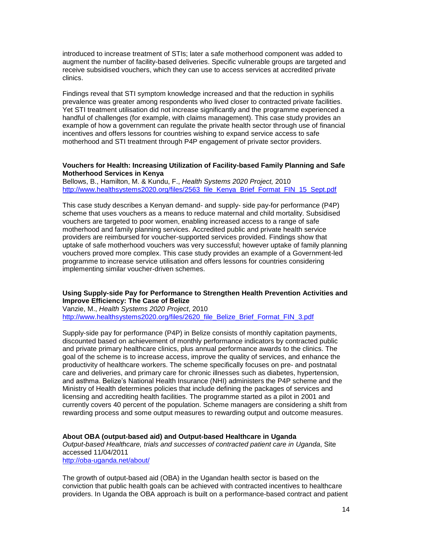introduced to increase treatment of STIs; later a safe motherhood component was added to augment the number of facility-based deliveries. Specific vulnerable groups are targeted and receive subsidised vouchers, which they can use to access services at accredited private clinics.

Findings reveal that STI symptom knowledge increased and that the reduction in syphilis prevalence was greater among respondents who lived closer to contracted private facilities. Yet STI treatment utilisation did not increase significantly and the programme experienced a handful of challenges (for example, with claims management). This case study provides an example of how a government can regulate the private health sector through use of financial incentives and offers lessons for countries wishing to expand service access to safe motherhood and STI treatment through P4P engagement of private sector providers.

#### **Vouchers for Health: Increasing Utilization of Facility-based Family Planning and Safe Motherhood Services in Kenya**

Bellows, B., Hamilton, M. & Kundu, F., *Health Systems 2020 Project,* 2010 [http://www.healthsystems2020.org/files/2563\\_file\\_Kenya\\_Brief\\_Format\\_FIN\\_15\\_Sept.pdf](http://www.healthsystems2020.org/files/2563_file_Kenya_Brief_Format_FIN_15_Sept.pdf)

This case study describes a Kenyan demand- and supply- side pay-for performance (P4P) scheme that uses vouchers as a means to reduce maternal and child mortality. Subsidised vouchers are targeted to poor women, enabling increased access to a range of safe motherhood and family planning services. Accredited public and private health service providers are reimbursed for voucher-supported services provided. Findings show that uptake of safe motherhood vouchers was very successful; however uptake of family planning vouchers proved more complex. This case study provides an example of a Government-led programme to increase service utilisation and offers lessons for countries considering implementing similar voucher-driven schemes.

## **Using Supply-side Pay for Performance to Strengthen Health Prevention Activities and Improve Efficiency: The Case of Belize**

Vanzie, M., *Health Systems 2020 Project*, 2010 [http://www.healthsystems2020.org/files/2620\\_file\\_Belize\\_Brief\\_Format\\_FIN\\_3.pdf](http://www.healthsystems2020.org/files/2620_file_Belize_Brief_Format_FIN_3.pdf)

Supply-side pay for performance (P4P) in Belize consists of monthly capitation payments, discounted based on achievement of monthly performance indicators by contracted public and private primary healthcare clinics, plus annual performance awards to the clinics. The goal of the scheme is to increase access, improve the quality of services, and enhance the productivity of healthcare workers. The scheme specifically focuses on pre- and postnatal care and deliveries, and primary care for chronic illnesses such as diabetes, hypertension, and asthma. Belize's National Health Insurance (NHI) administers the P4P scheme and the Ministry of Health determines policies that include defining the packages of services and licensing and accrediting health facilities. The programme started as a pilot in 2001 and currently covers 40 percent of the population. Scheme managers are considering a shift from rewarding process and some output measures to rewarding output and outcome measures.

**About OBA (output-based aid) and Output-based Healthcare in Uganda** *Output-based Healthcare, trials and successes of contracted patient care in Uganda*, Site accessed 11/04/2011 <http://oba-uganda.net/about/>

The growth of output-based aid (OBA) in the Ugandan health sector is based on the conviction that public health goals can be achieved with contracted incentives to healthcare providers. In Uganda the OBA approach is built on a performance-based contract and patient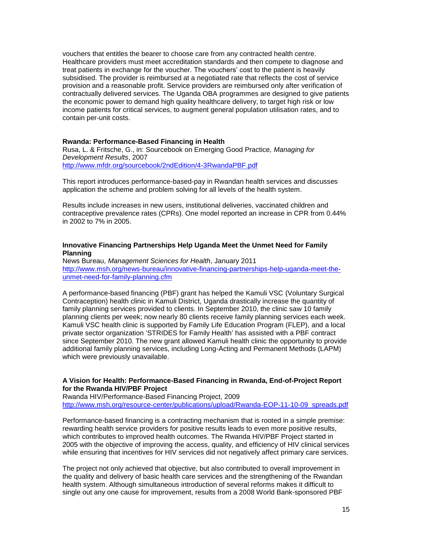vouchers that entitles the bearer to choose care from any contracted health centre. Healthcare providers must meet accreditation standards and then compete to diagnose and treat patients in exchange for the voucher. The vouchers' cost to the patient is heavily subsidised. The provider is reimbursed at a negotiated rate that reflects the cost of service provision and a reasonable profit. Service providers are reimbursed only after verification of contractually delivered services. The Uganda OBA programmes are designed to give patients the economic power to demand high quality healthcare delivery, to target high risk or low income patients for critical services, to augment general population utilisation rates, and to contain per-unit costs.

#### **Rwanda: Performance-Based Financing in Health**

Rusa, L. & Fritsche, G., in: Sourcebook on Emerging Good Practice*, Managing for Development Results*, 2007 <http://www.mfdr.org/sourcebook/2ndEdition/4-3RwandaPBF.pdf>

This report introduces performance-based-pay in Rwandan health services and discusses application the scheme and problem solving for all levels of the health system.

Results include increases in new users, institutional deliveries, vaccinated children and contraceptive prevalence rates (CPRs). One model reported an increase in CPR from 0.44% in 2002 to 7% in 2005.

#### **Innovative Financing Partnerships Help Uganda Meet the Unmet Need for Family Planning**

News Bureau, *Management Sciences for Health*, January 2011 [http://www.msh.org/news-bureau/innovative-financing-partnerships-help-uganda-meet-the](http://www.msh.org/news-bureau/innovative-financing-partnerships-help-uganda-meet-the-unmet-need-for-family-planning.cfm)[unmet-need-for-family-planning.cfm](http://www.msh.org/news-bureau/innovative-financing-partnerships-help-uganda-meet-the-unmet-need-for-family-planning.cfm)

A performance-based financing (PBF) grant has helped the Kamuli VSC (Voluntary Surgical Contraception) health clinic in Kamuli District, Uganda drastically increase the quantity of family planning services provided to clients. In September 2010, the clinic saw 10 family planning clients per week; now nearly 80 clients receive family planning services each week. Kamuli VSC health clinic is supported by Family Life Education Program (FLEP), and a local private sector organization 'STRIDES for Family Health' has assisted with a PBF contract since September 2010. The new grant allowed Kamuli health clinic the opportunity to provide additional family planning services, including Long-Acting and Permanent Methods (LAPM) which were previously unavailable.

#### **A Vision for Health: Performance-Based Financing in Rwanda, End-of-Project Report for the Rwanda HIV/PBF Project**

Rwanda HIV/Performance-Based Financing Project, 2009 [http://www.msh.org/resource-center/publications/upload/Rwanda-EOP-11-10-09\\_spreads.pdf](http://www.msh.org/resource-center/publications/upload/Rwanda-EOP-11-10-09_spreads.pdf)

Performance-based financing is a contracting mechanism that is rooted in a simple premise: rewarding health service providers for positive results leads to even more positive results, which contributes to improved health outcomes. The Rwanda HIV/PBF Project started in 2005 with the objective of improving the access, quality, and efficiency of HIV clinical services while ensuring that incentives for HIV services did not negatively affect primary care services.

The project not only achieved that objective, but also contributed to overall improvement in the quality and delivery of basic health care services and the strengthening of the Rwandan health system. Although simultaneous introduction of several reforms makes it difficult to single out any one cause for improvement, results from a 2008 World Bank-sponsored PBF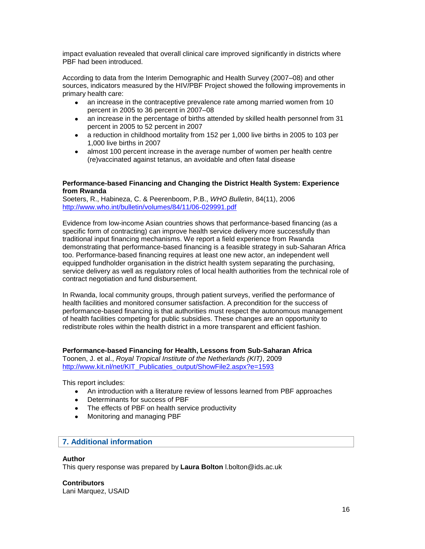impact evaluation revealed that overall clinical care improved significantly in districts where PBF had been introduced.

According to data from the Interim Demographic and Health Survey (2007–08) and other sources, indicators measured by the HIV/PBF Project showed the following improvements in primary health care:

- an increase in the contraceptive prevalence rate among married women from 10 percent in 2005 to 36 percent in 2007–08
- an increase in the percentage of births attended by skilled health personnel from 31 percent in 2005 to 52 percent in 2007
- a reduction in childhood mortality from 152 per 1,000 live births in 2005 to 103 per 1,000 live births in 2007
- almost 100 percent increase in the average number of women per health centre (re)vaccinated against tetanus, an avoidable and often fatal disease

#### **Performance-based Financing and Changing the District Health System: Experience from Rwanda**

Soeters, R., Habineza, C. & Peerenboom, P.B., *WHO Bulletin*, 84(11), 2006 <http://www.who.int/bulletin/volumes/84/11/06-029991.pdf>

Evidence from low-income Asian countries shows that performance-based financing (as a specific form of contracting) can improve health service delivery more successfully than traditional input financing mechanisms. We report a field experience from Rwanda demonstrating that performance-based financing is a feasible strategy in sub-Saharan Africa too. Performance-based financing requires at least one new actor, an independent well equipped fundholder organisation in the district health system separating the purchasing, service delivery as well as regulatory roles of local health authorities from the technical role of contract negotiation and fund disbursement.

In Rwanda, local community groups, through patient surveys, verified the performance of health facilities and monitored consumer satisfaction. A precondition for the success of performance-based financing is that authorities must respect the autonomous management of health facilities competing for public subsidies. These changes are an opportunity to redistribute roles within the health district in a more transparent and efficient fashion.

## **Performance-based Financing for Health, Lessons from Sub-Saharan Africa**

Toonen, J. et al., *Royal Tropical Institute of the Netherlands (KIT)*, 2009 [http://www.kit.nl/net/KIT\\_Publicaties\\_output/ShowFile2.aspx?e=1593](http://www.kit.nl/net/KIT_Publicaties_output/ShowFile2.aspx?e=1593)

This report includes:

- An introduction with a literature review of lessons learned from PBF approaches
- Determinants for success of PBF
- The effects of PBF on health service productivity
- Monitoring and managing PBF

## **7. Additional information**

## **Author**

This query response was prepared by **Laura Bolton** l.bolton@ids.ac.uk

**Contributors** Lani Marquez, USAID